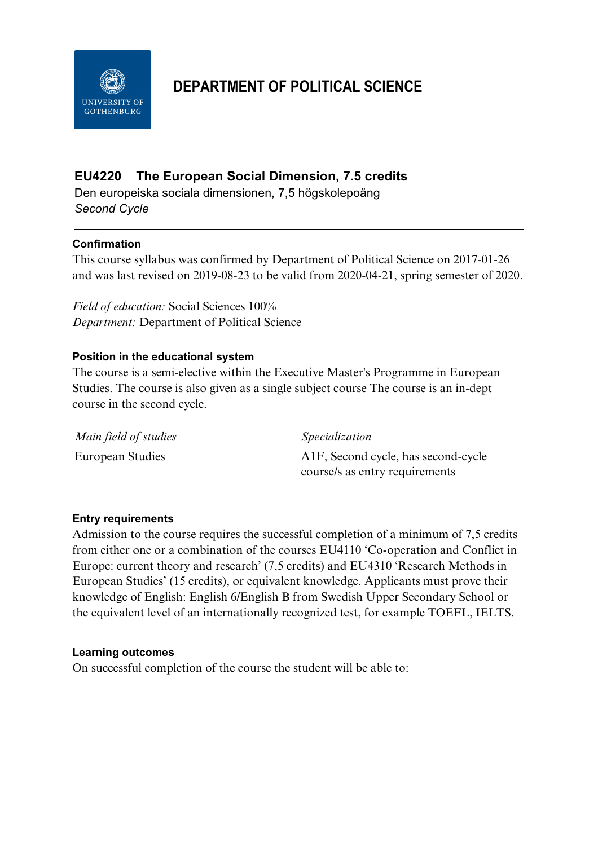

# **DEPARTMENT OF POLITICAL SCIENCE**

# **EU4220 The European Social Dimension, 7.5 credits**

Den europeiska sociala dimensionen, 7,5 högskolepoäng *Second Cycle*

## **Confirmation**

This course syllabus was confirmed by Department of Political Science on 2017-01-26 and was last revised on 2019-08-23 to be valid from 2020-04-21, spring semester of 2020.

*Field of education:* Social Sciences 100% *Department:* Department of Political Science

### **Position in the educational system**

The course is a semi-elective within the Executive Master's Programme in European Studies. The course is also given as a single subject course The course is an in-dept course in the second cycle.

| Main field of studies | <i>Specialization</i>                            |
|-----------------------|--------------------------------------------------|
| European Studies      | A <sub>1</sub> F, Second cycle, has second-cycle |
|                       | course/s as entry requirements                   |

### **Entry requirements**

Admission to the course requires the successful completion of a minimum of 7,5 credits from either one or a combination of the courses EU4110 'Co-operation and Conflict in Europe: current theory and research' (7,5 credits) and EU4310 'Research Methods in European Studies' (15 credits), or equivalent knowledge. Applicants must prove their knowledge of English: English 6/English B from Swedish Upper Secondary School or the equivalent level of an internationally recognized test, for example TOEFL, IELTS.

### **Learning outcomes**

On successful completion of the course the student will be able to: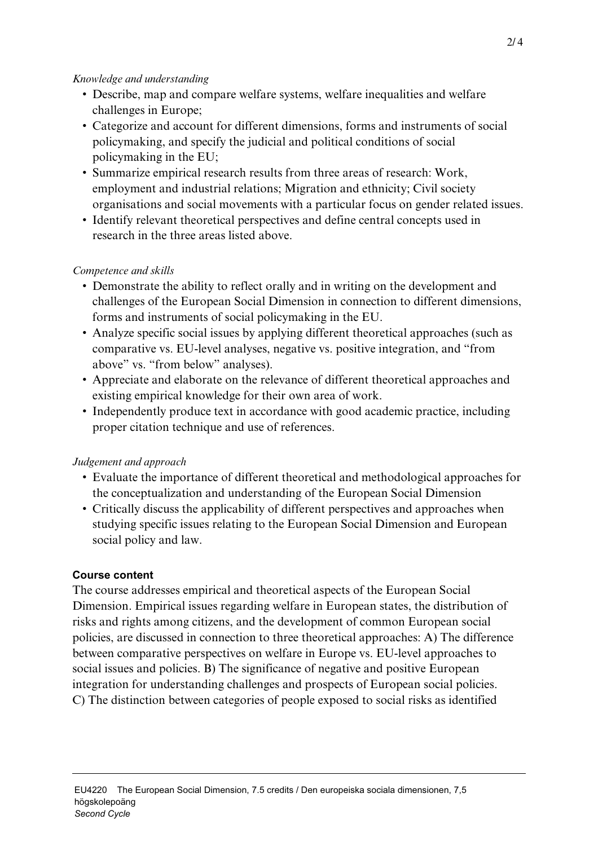## *Knowledge and understanding*

- Describe, map and compare welfare systems, welfare inequalities and welfare challenges in Europe;
- Categorize and account for different dimensions, forms and instruments of social policymaking, and specify the judicial and political conditions of social policymaking in the EU;
- Summarize empirical research results from three areas of research: Work, employment and industrial relations; Migration and ethnicity; Civil society organisations and social movements with a particular focus on gender related issues.
- Identify relevant theoretical perspectives and define central concepts used in research in the three areas listed above.

## *Competence and skills*

- Demonstrate the ability to reflect orally and in writing on the development and challenges of the European Social Dimension in connection to different dimensions, forms and instruments of social policymaking in the EU.
- Analyze specific social issues by applying different theoretical approaches (such as comparative vs. EU-level analyses, negative vs. positive integration, and "from above" vs. "from below" analyses).
- Appreciate and elaborate on the relevance of different theoretical approaches and existing empirical knowledge for their own area of work.
- Independently produce text in accordance with good academic practice, including proper citation technique and use of references.

# *Judgement and approach*

- Evaluate the importance of different theoretical and methodological approaches for the conceptualization and understanding of the European Social Dimension
- Critically discuss the applicability of different perspectives and approaches when studying specific issues relating to the European Social Dimension and European social policy and law.

# **Course content**

The course addresses empirical and theoretical aspects of the European Social Dimension. Empirical issues regarding welfare in European states, the distribution of risks and rights among citizens, and the development of common European social policies, are discussed in connection to three theoretical approaches: A) The difference between comparative perspectives on welfare in Europe vs. EU-level approaches to social issues and policies. B) The significance of negative and positive European integration for understanding challenges and prospects of European social policies. C) The distinction between categories of people exposed to social risks as identified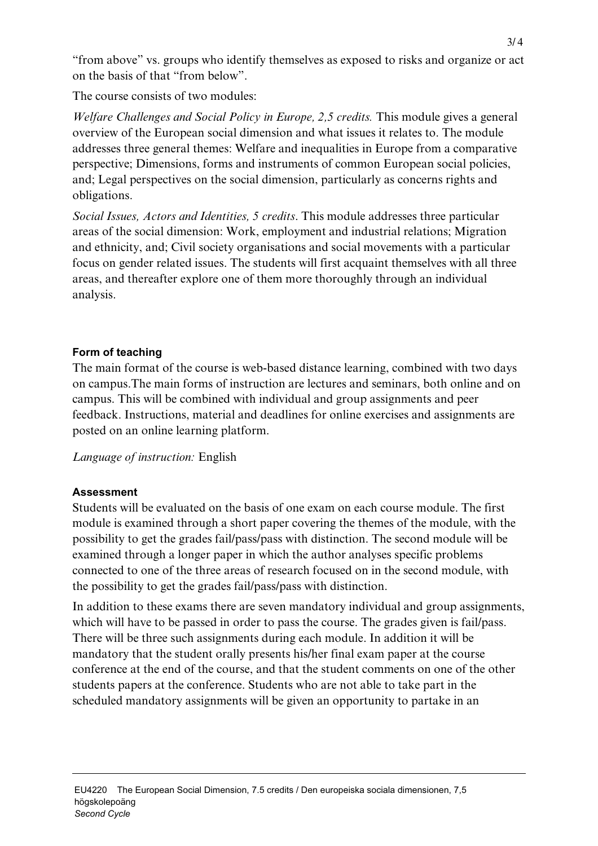"from above" vs. groups who identify themselves as exposed to risks and organize or act on the basis of that "from below".

The course consists of two modules:

*Welfare Challenges and Social Policy in Europe, 2,5 credits. This module gives a general* overview of the European social dimension and what issues it relates to. The module addresses three general themes: Welfare and inequalities in Europe from a comparative perspective; Dimensions, forms and instruments of common European social policies, and; Legal perspectives on the social dimension, particularly as concerns rights and obligations.

*Social Issues, Actors and Identities, 5 credits*. This module addresses three particular areas of the social dimension: Work, employment and industrial relations; Migration and ethnicity, and; Civil society organisations and social movements with a particular focus on gender related issues. The students will first acquaint themselves with all three areas, and thereafter explore one of them more thoroughly through an individual analysis.

# **Form of teaching**

The main format of the course is web-based distance learning, combined with two days on campus.The main forms of instruction are lectures and seminars, both online and on campus. This will be combined with individual and group assignments and peer feedback. Instructions, material and deadlines for online exercises and assignments are posted on an online learning platform.

*Language of instruction:* English

# **Assessment**

Students will be evaluated on the basis of one exam on each course module. The first module is examined through a short paper covering the themes of the module, with the possibility to get the grades fail/pass/pass with distinction. The second module will be examined through a longer paper in which the author analyses specific problems connected to one of the three areas of research focused on in the second module, with the possibility to get the grades fail/pass/pass with distinction.

In addition to these exams there are seven mandatory individual and group assignments, which will have to be passed in order to pass the course. The grades given is fail/pass. There will be three such assignments during each module. In addition it will be mandatory that the student orally presents his/her final exam paper at the course conference at the end of the course, and that the student comments on one of the other students papers at the conference. Students who are not able to take part in the scheduled mandatory assignments will be given an opportunity to partake in an